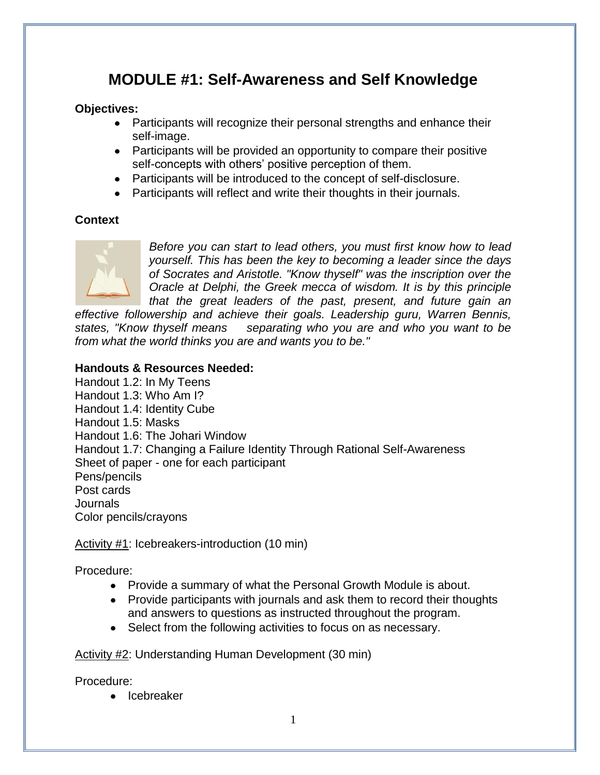## **MODULE #1: Self-Awareness and Self Knowledge**

#### **Objectives:**

- Participants will recognize their personal strengths and enhance their self-image.
- Participants will be provided an opportunity to compare their positive self-concepts with others' positive perception of them.
- Participants will be introduced to the concept of self-disclosure.
- Participants will reflect and write their thoughts in their journals.

#### **Context**



*Before you can start to lead others, you must first know how to lead yourself. This has been the key to becoming a leader since the days of Socrates and Aristotle. "Know thyself" was the inscription over the Oracle at Delphi, the Greek mecca of wisdom. It is by this principle that the great leaders of the past, present, and future gain an* 

*effective followership and achieve their goals. Leadership guru, Warren Bennis, states, "Know thyself means separating who you are and who you want to be from what the world thinks you are and wants you to be."*

#### **Handouts & Resources Needed:**

Handout 1.2: In My Teens Handout 1.3: Who Am I? Handout 1.4: Identity Cube Handout 1.5: Masks Handout 1.6: The Johari Window Handout 1.7: Changing a Failure Identity Through Rational Self-Awareness Sheet of paper - one for each participant Pens/pencils Post cards Journals Color pencils/crayons

Activity #1: Icebreakers-introduction (10 min)

Procedure:

- Provide a summary of what the Personal Growth Module is about.
- Provide participants with journals and ask them to record their thoughts and answers to questions as instructed throughout the program.
- Select from the following activities to focus on as necessary.

Activity #2: Understanding Human Development (30 min)

Procedure:

• Icebreaker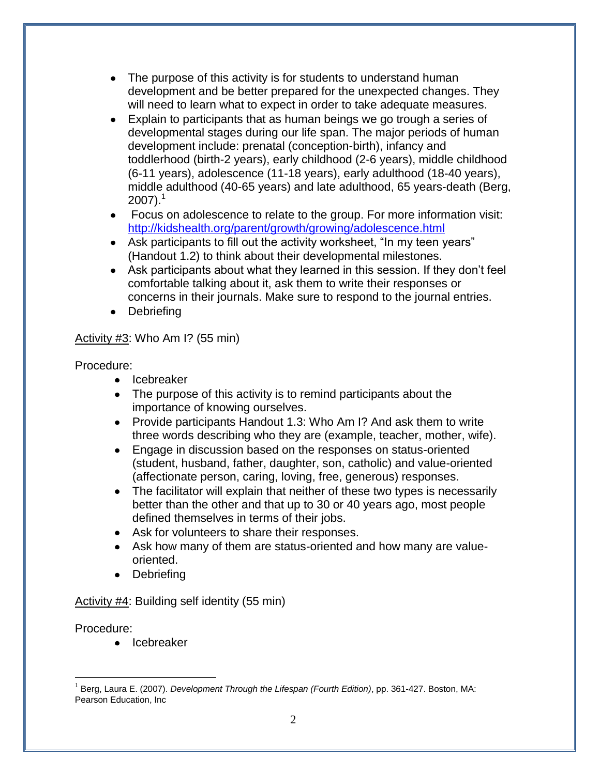- The purpose of this activity is for students to understand human development and be better prepared for the unexpected changes. They will need to learn what to expect in order to take adequate measures.
- Explain to participants that as human beings we go trough a series of developmental stages during our life span. The major periods of human development include: prenatal (conception-birth), infancy and toddlerhood (birth-2 years), early childhood (2-6 years), middle childhood (6-11 years), adolescence (11-18 years), early adulthood (18-40 years), middle adulthood (40-65 years) and late adulthood, 65 years-death (Berg,  $2007$ ).<sup>1</sup>
- Focus on adolescence to relate to the group. For more information visit: <http://kidshealth.org/parent/growth/growing/adolescence.html>
- Ask participants to fill out the activity worksheet, "In my teen years" (Handout 1.2) to think about their developmental milestones.
- Ask participants about what they learned in this session. If they don't feel comfortable talking about it, ask them to write their responses or concerns in their journals. Make sure to respond to the journal entries.
- Debriefing

#### Activity #3: Who Am I? (55 min)

Procedure:

- Icebreaker
- The purpose of this activity is to remind participants about the importance of knowing ourselves.
- Provide participants Handout 1.3: Who Am I? And ask them to write three words describing who they are (example, teacher, mother, wife).
- Engage in discussion based on the responses on status-oriented (student, husband, father, daughter, son, catholic) and value-oriented (affectionate person, caring, loving, free, generous) responses.
- The facilitator will explain that neither of these two types is necessarily better than the other and that up to 30 or 40 years ago, most people defined themselves in terms of their jobs.
- Ask for volunteers to share their responses.
- Ask how many of them are status-oriented and how many are valueoriented.
- Debriefing

Activity #4: Building self identity (55 min)

#### Procedure:

<u>.</u>

• Icebreaker

<sup>1</sup> Berg, Laura E. (2007). *Development Through the Lifespan (Fourth Edition)*, pp. 361-427. Boston, MA: Pearson Education, Inc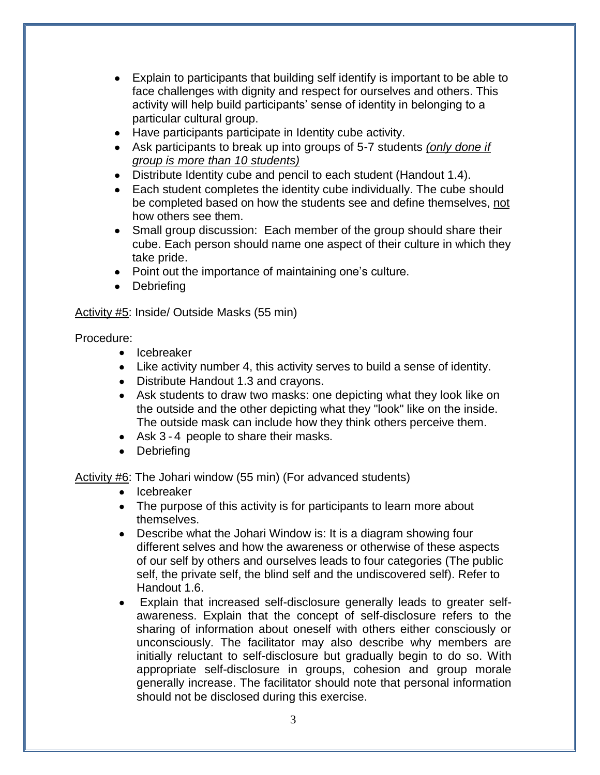- Explain to participants that building self identify is important to be able to face challenges with dignity and respect for ourselves and others. This activity will help build participants' sense of identity in belonging to a particular cultural group.
- Have participants participate in Identity cube activity.
- Ask participants to break up into groups of 5-7 students *(only done if group is more than 10 students)*
- Distribute Identity cube and pencil to each student (Handout 1.4).
- Each student completes the identity cube individually. The cube should be completed based on how the students see and define themselves, not how others see them.
- Small group discussion: Each member of the group should share their cube. Each person should name one aspect of their culture in which they take pride.
- Point out the importance of maintaining one's culture.
- Debriefing

#### Activity #5: Inside/ Outside Masks (55 min)

#### Procedure:

- Icebreaker
- Like activity number 4, this activity serves to build a sense of identity.
- Distribute Handout 1.3 and crayons.
- Ask students to draw two masks: one depicting what they look like on the outside and the other depicting what they "look" like on the inside. The outside mask can include how they think others perceive them.
- Ask 3 4 people to share their masks.
- Debriefing

Activity #6: The Johari window (55 min) (For advanced students)

- Icebreaker
- The purpose of this activity is for participants to learn more about themselves.
- Describe what the Johari Window is: It is a diagram showing four different selves and how the awareness or otherwise of these aspects of our self by others and ourselves leads to four categories (The public self, the private self, the blind self and the undiscovered self). Refer to Handout 1.6.
- Explain that increased self-disclosure generally leads to greater selfawareness. Explain that the concept of self-disclosure refers to the sharing of information about oneself with others either consciously or unconsciously. The facilitator may also describe why members are initially reluctant to self-disclosure but gradually begin to do so. With appropriate self-disclosure in groups, cohesion and group morale generally increase. The facilitator should note that personal information should not be disclosed during this exercise.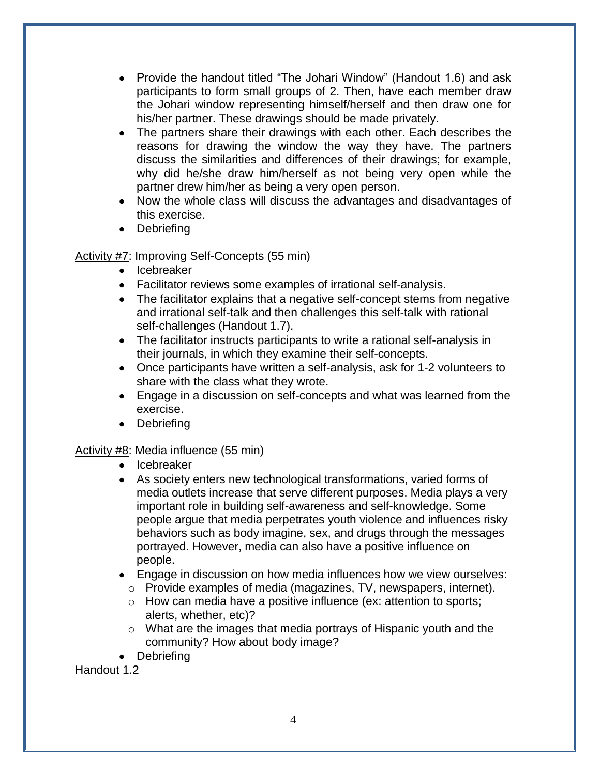- Provide the handout titled "The Johari Window" (Handout 1.6) and ask participants to form small groups of 2. Then, have each member draw the Johari window representing himself/herself and then draw one for his/her partner. These drawings should be made privately.
- The partners share their drawings with each other. Each describes the reasons for drawing the window the way they have. The partners discuss the similarities and differences of their drawings; for example, why did he/she draw him/herself as not being very open while the partner drew him/her as being a very open person.
- Now the whole class will discuss the advantages and disadvantages of this exercise.
- Debriefing

#### Activity #7: Improving Self-Concepts (55 min)

- Icebreaker
- Facilitator reviews some examples of irrational self-analysis.
- The facilitator explains that a negative self-concept stems from negative and irrational self-talk and then challenges this self-talk with rational self-challenges (Handout 1.7).
- The facilitator instructs participants to write a rational self-analysis in their journals, in which they examine their self-concepts.
- Once participants have written a self-analysis, ask for 1-2 volunteers to share with the class what they wrote.
- Engage in a discussion on self-concepts and what was learned from the exercise.
- Debriefing

#### Activity #8: Media influence (55 min)

- Icebreaker
- As society enters new technological transformations, varied forms of media outlets increase that serve different purposes. Media plays a very important role in building self-awareness and self-knowledge. Some people argue that media perpetrates youth violence and influences risky behaviors such as body imagine, sex, and drugs through the messages portrayed. However, media can also have a positive influence on people.
- Engage in discussion on how media influences how we view ourselves:
	- o Provide examples of media (magazines, TV, newspapers, internet).
	- o How can media have a positive influence (ex: attention to sports; alerts, whether, etc)?
	- o What are the images that media portrays of Hispanic youth and the community? How about body image?
- Debriefing

Handout 1.2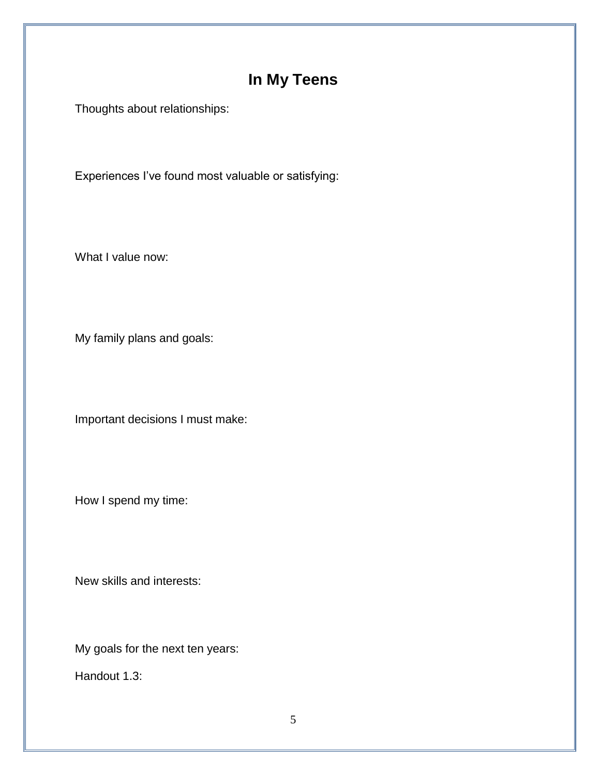# **In My Teens**

Thoughts about relationships:

Experiences I've found most valuable or satisfying:

What I value now:

My family plans and goals:

Important decisions I must make:

How I spend my time:

New skills and interests:

My goals for the next ten years:

Handout 1.3: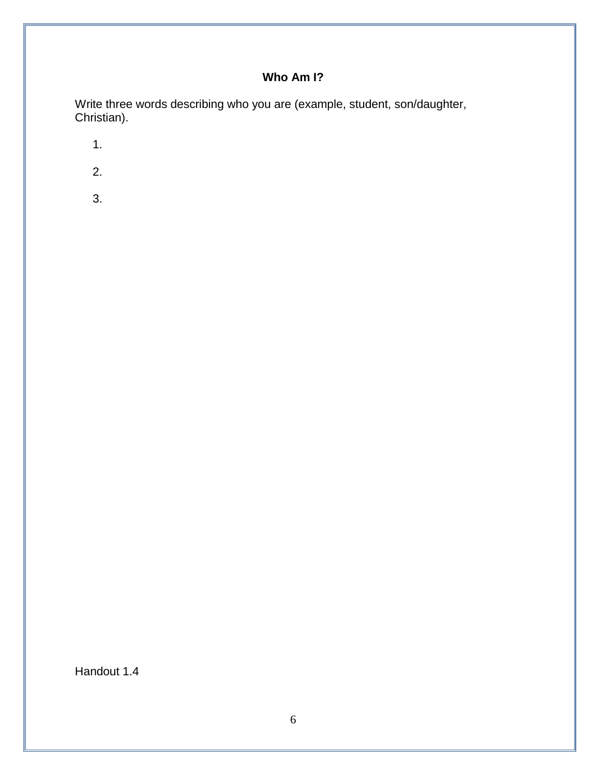### **Who Am I?**

Write three words describing who you are (example, student, son/daughter, Christian).

1.

- 2.
- 3.

Handout 1.4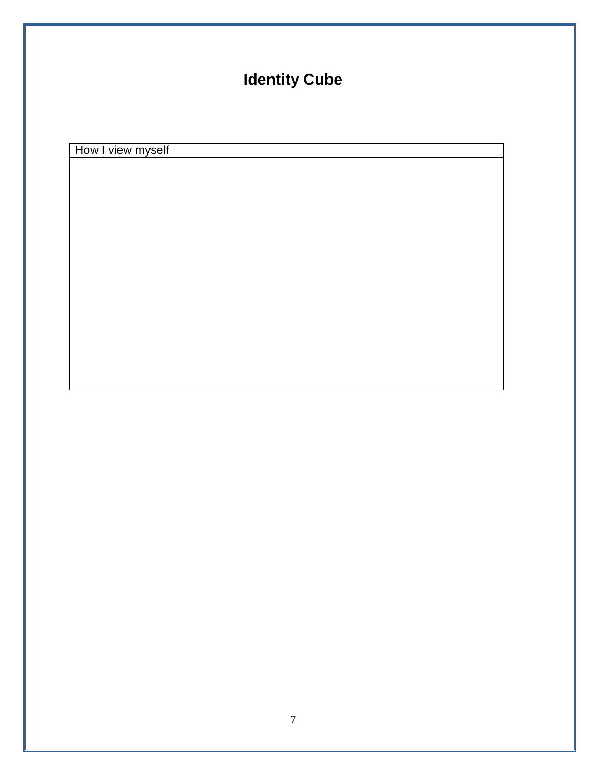# **Identity Cube**

How I view myself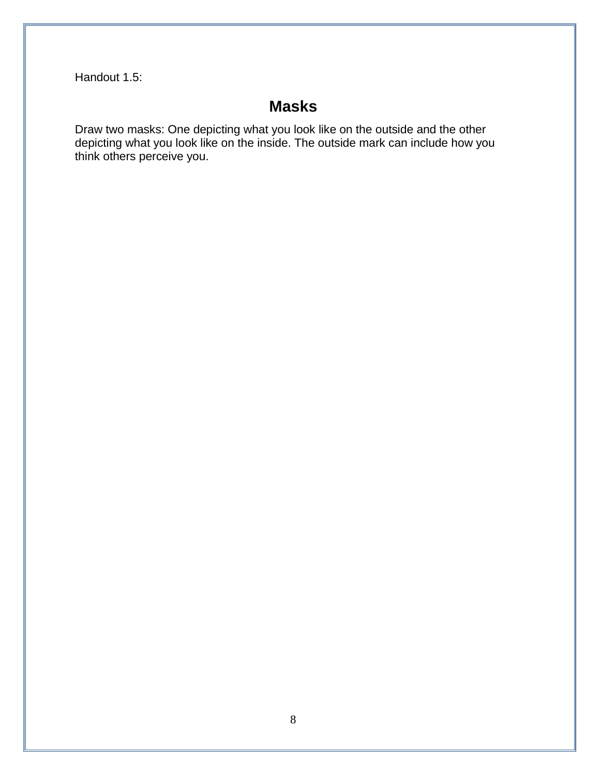Handout 1.5:

## **Masks**

Draw two masks: One depicting what you look like on the outside and the other depicting what you look like on the inside. The outside mark can include how you think others perceive you.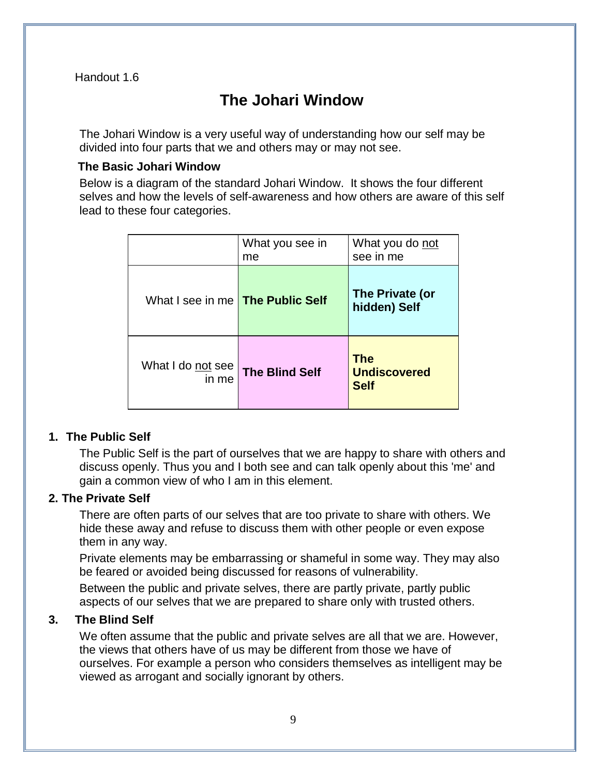Handout 1.6

# **The Johari Window**

The Johari Window is a very useful way of understanding how our self may be divided into four parts that we and others may or may not see.

#### **The Basic Johari Window**

Below is a diagram of the standard Johari Window. It shows the four different selves and how the levels of self-awareness and how others are aware of this self lead to these four categories.

|                                         | What you see in<br>me | What you do not<br>see in me                     |
|-----------------------------------------|-----------------------|--------------------------------------------------|
| What I see in me <b>The Public Self</b> |                       | The Private (or<br>hidden) Self                  |
| What I do not see<br>in me              | <b>The Blind Self</b> | <b>The</b><br><b>Undiscovered</b><br><b>Self</b> |

#### **1. The Public Self**

The Public Self is the part of ourselves that we are happy to share with others and discuss openly. Thus you and I both see and can talk openly about this 'me' and gain a common view of who I am in this element.

#### **2. The Private Self**

There are often parts of our selves that are too private to share with others. We hide these away and refuse to discuss them with other people or even expose them in any way.

Private elements may be embarrassing or shameful in some way. They may also be feared or avoided being discussed for reasons of vulnerability.

Between the public and private selves, there are partly private, partly public aspects of our selves that we are prepared to share only with trusted others.

#### **3. The Blind Self**

We often assume that the public and private selves are all that we are. However, the views that others have of us may be different from those we have of ourselves. For example a person who considers themselves as intelligent may be viewed as arrogant and socially ignorant by others.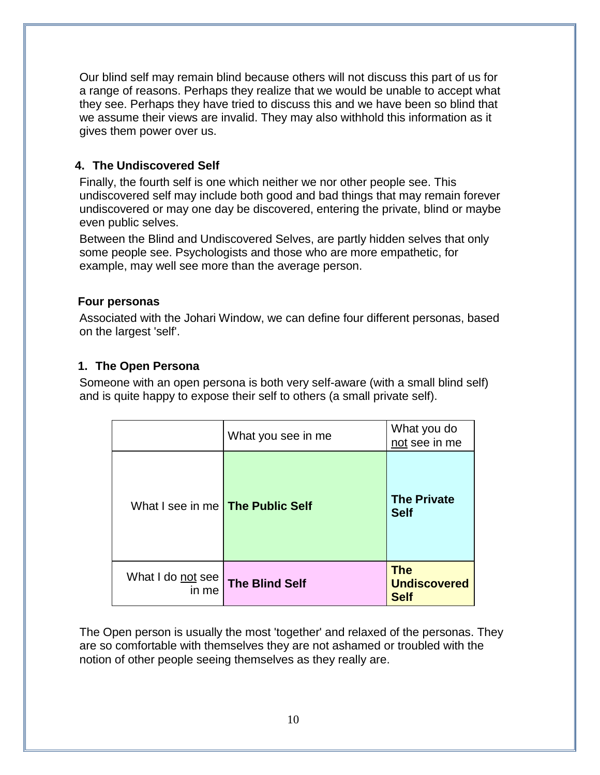Our blind self may remain blind because others will not discuss this part of us for a range of reasons. Perhaps they realize that we would be unable to accept what they see. Perhaps they have tried to discuss this and we have been so blind that we assume their views are invalid. They may also withhold this information as it gives them power over us.

### **4. The Undiscovered Self**

Finally, the fourth self is one which neither we nor other people see. This undiscovered self may include both good and bad things that may remain forever undiscovered or may one day be discovered, entering the private, blind or maybe even public selves.

Between the Blind and Undiscovered Selves, are partly hidden selves that only some people see. Psychologists and those who are more empathetic, for example, may well see more than the average person.

#### **Four personas**

Associated with the Johari Window, we can define four different personas, based on the largest 'self'.

## **1. The Open Persona**

Someone with an open persona is both very self-aware (with a small blind self) and is quite happy to expose their self to others (a small private self).

|                                         | What you see in me    | What you do<br>not see in me                     |
|-----------------------------------------|-----------------------|--------------------------------------------------|
| What I see in me <b>The Public Self</b> |                       | <b>The Private</b><br><b>Self</b>                |
| What I do not see<br>in me              | <b>The Blind Self</b> | <b>The</b><br><b>Undiscovered</b><br><b>Self</b> |

The Open person is usually the most 'together' and relaxed of the personas. They are so comfortable with themselves they are not ashamed or troubled with the notion of other people seeing themselves as they really are.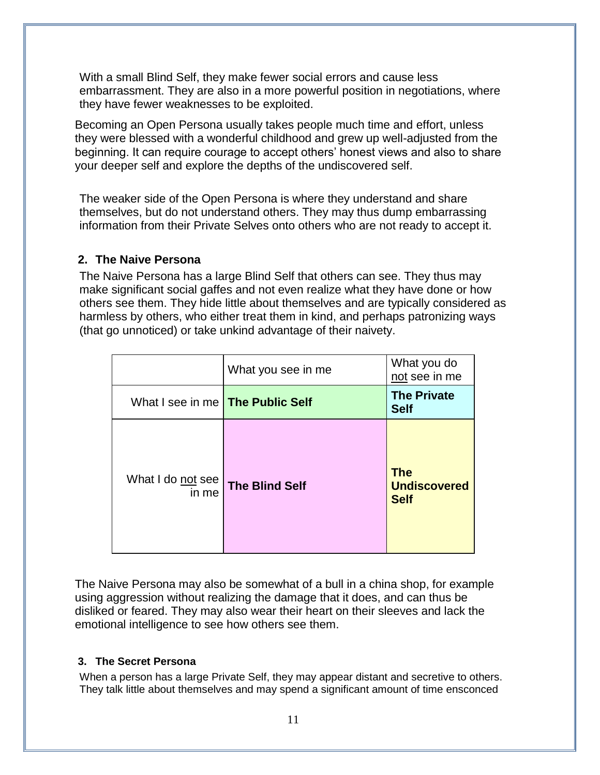With a small Blind Self, they make fewer social errors and cause less embarrassment. They are also in a more powerful position in negotiations, where they have fewer weaknesses to be exploited.

Becoming an Open Persona usually takes people much time and effort, unless they were blessed with a wonderful childhood and grew up well-adjusted from the beginning. It can require courage to accept others' honest views and also to share your deeper self and explore the depths of the undiscovered self.

The weaker side of the Open Persona is where they understand and share themselves, but do not understand others. They may thus dump embarrassing information from their Private Selves onto others who are not ready to accept it.

#### **2. The Naive Persona**

The Naive Persona has a large Blind Self that others can see. They thus may make significant social gaffes and not even realize what they have done or how others see them. They hide little about themselves and are typically considered as harmless by others, who either treat them in kind, and perhaps patronizing ways (that go unnoticed) or take unkind advantage of their naivety.

|                                         | What you see in me    | What you do<br>not see in me                     |
|-----------------------------------------|-----------------------|--------------------------------------------------|
| What I see in me <b>The Public Self</b> |                       | <b>The Private</b><br><b>Self</b>                |
| What I do not see<br>in me              | <b>The Blind Self</b> | <b>The</b><br><b>Undiscovered</b><br><b>Self</b> |

The Naive Persona may also be somewhat of a bull in a china shop, for example using aggression without realizing the damage that it does, and can thus be disliked or feared. They may also wear their heart on their sleeves and lack the emotional intelligence to see how others see them.

#### **3. The Secret Persona**

When a person has a large Private Self, they may appear distant and secretive to others. They talk little about themselves and may spend a significant amount of time ensconced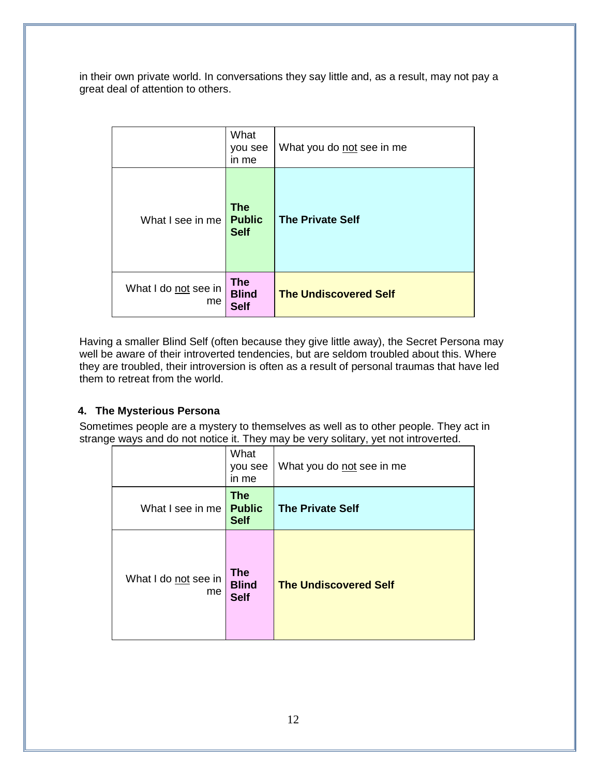in their own private world. In conversations they say little and, as a result, may not pay a great deal of attention to others.

|                            | What<br>you see<br>in me                   | What you do not see in me    |
|----------------------------|--------------------------------------------|------------------------------|
| What I see in me           | <b>The</b><br><b>Public</b><br><b>Self</b> | <b>The Private Self</b>      |
| What I do not see in<br>me | <b>The</b><br><b>Blind</b><br><b>Self</b>  | <b>The Undiscovered Self</b> |

Having a smaller Blind Self (often because they give little away), the Secret Persona may well be aware of their introverted tendencies, but are seldom troubled about this. Where they are troubled, their introversion is often as a result of personal traumas that have led them to retreat from the world.

#### **4. The Mysterious Persona**

Sometimes people are a mystery to themselves as well as to other people. They act in strange ways and do not notice it. They may be very solitary, yet not introverted.

|                            | What<br>you see<br>in me                   | What you do not see in me    |
|----------------------------|--------------------------------------------|------------------------------|
| What I see in me           | <b>The</b><br><b>Public</b><br><b>Self</b> | <b>The Private Self</b>      |
| What I do not see in<br>me | <b>The</b><br><b>Blind</b><br><b>Self</b>  | <b>The Undiscovered Self</b> |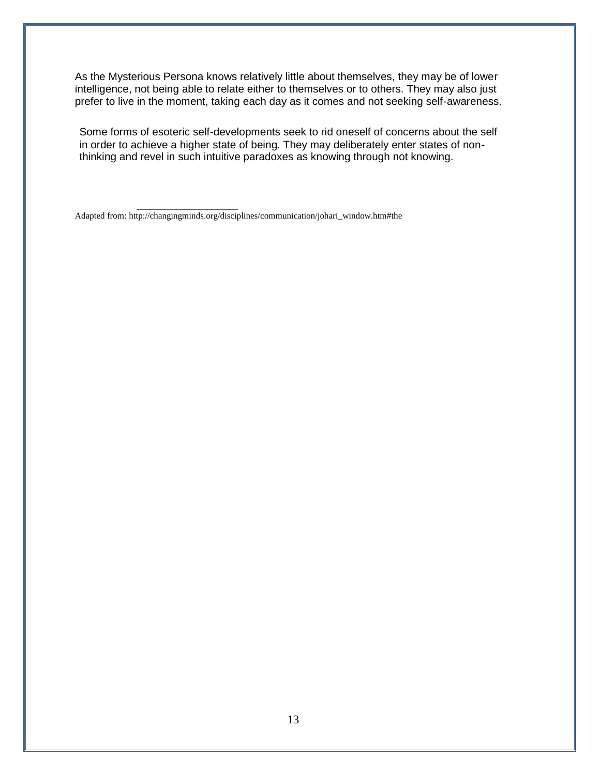As the Mysterious Persona knows relatively little about themselves, they may be of lower intelligence, not being able to relate either to themselves or to others. They may also just prefer to live in the moment, taking each day as it comes and not seeking self-awareness.

Some forms of esoteric self-developments seek to rid oneself of concerns about the self in order to achieve a higher state of being. They may deliberately enter states of nonthinking and revel in such intuitive paradoxes as knowing through not knowing.

Adapted from: http://changingminds.org/disciplines/communication/johari\_window.htm#the

 $\overline{\phantom{a}}$  ,  $\overline{\phantom{a}}$  ,  $\overline{\phantom{a}}$  ,  $\overline{\phantom{a}}$  ,  $\overline{\phantom{a}}$  ,  $\overline{\phantom{a}}$  ,  $\overline{\phantom{a}}$  ,  $\overline{\phantom{a}}$  ,  $\overline{\phantom{a}}$  ,  $\overline{\phantom{a}}$  ,  $\overline{\phantom{a}}$  ,  $\overline{\phantom{a}}$  ,  $\overline{\phantom{a}}$  ,  $\overline{\phantom{a}}$  ,  $\overline{\phantom{a}}$  ,  $\overline{\phantom{a}}$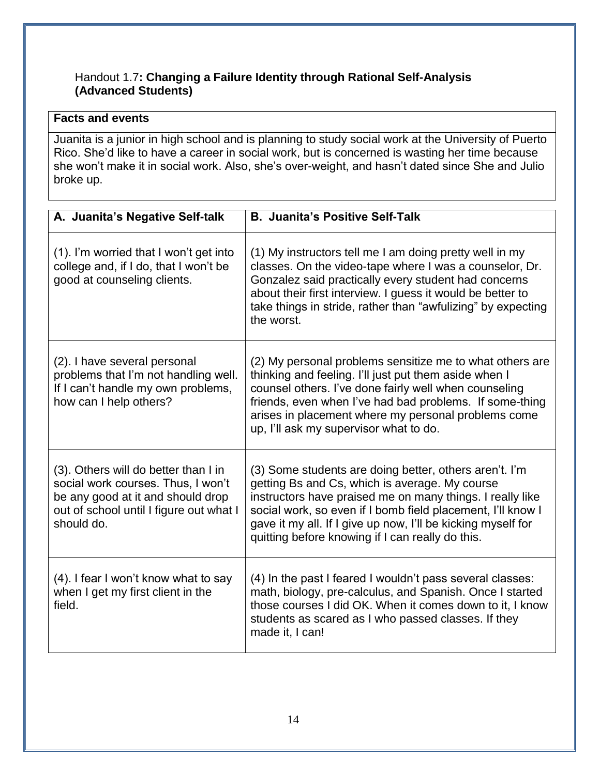#### Handout 1.7**: Changing a Failure Identity through Rational Self-Analysis (Advanced Students)**

### **Facts and events**

Juanita is a junior in high school and is planning to study social work at the University of Puerto Rico. She'd like to have a career in social work, but is concerned is wasting her time because she won't make it in social work. Also, she's over-weight, and hasn't dated since She and Julio broke up.

| A. Juanita's Negative Self-talk                                                                                                                                          | <b>B. Juanita's Positive Self-Talk</b>                                                                                                                                                                                                                                                                                                                   |
|--------------------------------------------------------------------------------------------------------------------------------------------------------------------------|----------------------------------------------------------------------------------------------------------------------------------------------------------------------------------------------------------------------------------------------------------------------------------------------------------------------------------------------------------|
| (1). I'm worried that I won't get into<br>college and, if I do, that I won't be<br>good at counseling clients.                                                           | (1) My instructors tell me I am doing pretty well in my<br>classes. On the video-tape where I was a counselor, Dr.<br>Gonzalez said practically every student had concerns<br>about their first interview. I guess it would be better to<br>take things in stride, rather than "awfulizing" by expecting<br>the worst.                                   |
| (2). I have several personal<br>problems that I'm not handling well.<br>If I can't handle my own problems,<br>how can I help others?                                     | (2) My personal problems sensitize me to what others are<br>thinking and feeling. I'll just put them aside when I<br>counsel others. I've done fairly well when counseling<br>friends, even when I've had bad problems. If some-thing<br>arises in placement where my personal problems come<br>up, I'll ask my supervisor what to do.                   |
| (3). Others will do better than I in<br>social work courses. Thus, I won't<br>be any good at it and should drop<br>out of school until I figure out what I<br>should do. | (3) Some students are doing better, others aren't. I'm<br>getting Bs and Cs, which is average. My course<br>instructors have praised me on many things. I really like<br>social work, so even if I bomb field placement, I'll know I<br>gave it my all. If I give up now, I'll be kicking myself for<br>quitting before knowing if I can really do this. |
| (4). I fear I won't know what to say<br>when I get my first client in the<br>field.                                                                                      | (4) In the past I feared I wouldn't pass several classes:<br>math, biology, pre-calculus, and Spanish. Once I started<br>those courses I did OK. When it comes down to it, I know<br>students as scared as I who passed classes. If they<br>made it, I can!                                                                                              |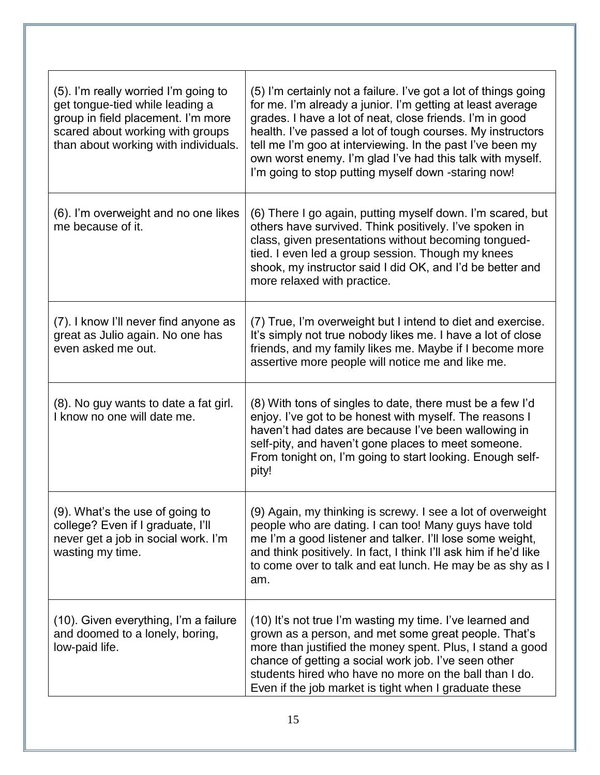| (5). I'm really worried I'm going to<br>get tongue-tied while leading a<br>group in field placement. I'm more<br>scared about working with groups<br>than about working with individuals. | (5) I'm certainly not a failure. I've got a lot of things going<br>for me. I'm already a junior. I'm getting at least average<br>grades. I have a lot of neat, close friends. I'm in good<br>health. I've passed a lot of tough courses. My instructors<br>tell me I'm goo at interviewing. In the past I've been my<br>own worst enemy. I'm glad I've had this talk with myself.<br>I'm going to stop putting myself down -staring now! |
|-------------------------------------------------------------------------------------------------------------------------------------------------------------------------------------------|------------------------------------------------------------------------------------------------------------------------------------------------------------------------------------------------------------------------------------------------------------------------------------------------------------------------------------------------------------------------------------------------------------------------------------------|
| (6). I'm overweight and no one likes<br>me because of it.                                                                                                                                 | (6) There I go again, putting myself down. I'm scared, but<br>others have survived. Think positively. I've spoken in<br>class, given presentations without becoming tongued-<br>tied. I even led a group session. Though my knees<br>shook, my instructor said I did OK, and I'd be better and<br>more relaxed with practice.                                                                                                            |
| (7). I know I'll never find anyone as<br>great as Julio again. No one has<br>even asked me out.                                                                                           | (7) True, I'm overweight but I intend to diet and exercise.<br>It's simply not true nobody likes me. I have a lot of close<br>friends, and my family likes me. Maybe if I become more<br>assertive more people will notice me and like me.                                                                                                                                                                                               |
| (8). No guy wants to date a fat girl.<br>I know no one will date me.                                                                                                                      | (8) With tons of singles to date, there must be a few I'd<br>enjoy. I've got to be honest with myself. The reasons I<br>haven't had dates are because I've been wallowing in<br>self-pity, and haven't gone places to meet someone.<br>From tonight on, I'm going to start looking. Enough self-<br>pity!                                                                                                                                |
| (9). What's the use of going to<br>college? Even if I graduate, I'll<br>never get a job in social work. I'm<br>wasting my time.                                                           | (9) Again, my thinking is screwy. I see a lot of overweight<br>people who are dating. I can too! Many guys have told<br>me I'm a good listener and talker. I'll lose some weight,<br>and think positively. In fact, I think I'll ask him if he'd like<br>to come over to talk and eat lunch. He may be as shy as I<br>am.                                                                                                                |
| (10). Given everything, I'm a failure<br>and doomed to a lonely, boring,<br>low-paid life.                                                                                                | (10) It's not true I'm wasting my time. I've learned and<br>grown as a person, and met some great people. That's<br>more than justified the money spent. Plus, I stand a good<br>chance of getting a social work job. I've seen other<br>students hired who have no more on the ball than I do.<br>Even if the job market is tight when I graduate these                                                                                 |